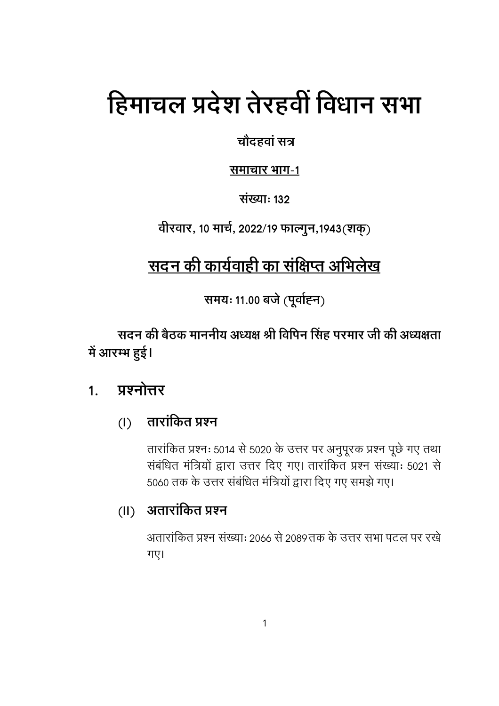# हिमाचल प्रदेश तेरहवीं विधान सभा

चौदहवां सत्र

समाचार भाग-1

संख्या: 132

वीरवार, 10 मार्च, 2022/19 फाल्गुन,1943(शक्)

## <u>सदन की कार्यवा</u>ही का संक्षिप्त अभिलेख

समयः 11.00 बजे (पूर्वाह्न)

सदन की बैठक माननीय अध्यक्ष श्री विपिन सिंह परमार जी की अध्यक्षता में आरम्भ हुई।

#### प्रश्नोत्तर  $1<sub>1</sub>$

#### तारांकित प्रश्न  $(1)$

तारांकित प्रश्नः 5014 से 5020 के उत्तर पर अनुपूरक प्रश्न पूछे गए तथा संबंधित मंत्रियों द्वारा उत्तर दिए गए। तारांकित प्रश्न संख्याः 5021 से 5060 तक के उत्तर संबंधित मंत्रियों द्वारा दिए गए समझे गए।

### (II) अतारांकित प्रश्न

अतारांकित प्रश्न संख्याः 2066 से 2089तक के उत्तर सभा पटल पर रखे गए।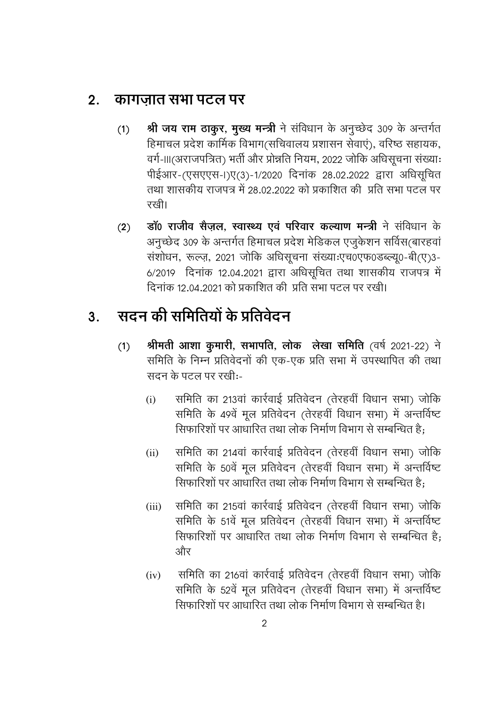#### कागजात सभा पटल पर  $2.$

- श्री जय राम ठाकुर, मुख्य मन्त्री ने संविधान के अनुच्छेद 309 के अन्तर्गत  $(1)$ हिमाचल प्रदेश कार्मिक विभाग(सचिवालय प्रशासन सेवाएं), वरिष्ठ सहायक, वर्ग-।।।(अराजपत्रित) भर्ती और प्रोन्नति नियम, 2022 जोकि अधिसूचना संख्याः पीईआर-(एसएएस-।)ए(3)-1/2020 दिनांक 28.02.2022 द्वारा अधिसूचित तथा शासकीय राजपत्र में 28.02.2022 को प्रकाशित की प्रति सभा पटल पर रखी।
- डॉ0 राजीव सैजल, स्वास्थ्य एवं परिवार कल्याण मन्त्री ने संविधान के  $(2)$ अनुच्छेद 309 के अन्तर्गत हिमाचल प्रदेश मेडिकल एजुकेशन सर्विस(बारहवां संशोधन, रूल्ज़, 2021 जोकि अधिसूचना संख्याःएच0एफ0डब्ल्यू0-बी(ए)3-6/2019 दिनांक 12.04.2021 द्वारा अधिसूचित तथा शासकीय राजपत्र में दिनांक 12.04.2021 को प्रकाशित की प्रति सभा पटल पर रखी।

#### सदन की समितियों के प्रतिवेदन  $3.$

- श्रीमती आशा कुमारी, सभापति, लोक लेखा समिति (वर्ष 2021-22) ने  $(1)$ समिति के निम्न प्रतिवेदनों की एक-एक प्रति सभा में उपस्थापित की तथा सदन के पटल पर रखी:-
	- समिति का 213वां कार्रवाई प्रतिवेदन (तेरहवीं विधान सभा) जोकि  $(i)$ समिति के 49वें मूल प्रतिवेदन (तेरहवीं विधान सभा) में अन्तर्विष्ट सिफारिशों पर आधारित तथा लोक निर्माण विभाग से सम्बन्धित है:
	- समिति का 214वां कार्रवाई प्रतिवेदन (तेरहवीं विधान सभा) जोकि  $(ii)$ समिति के 50वें मूल प्रतिवेदन (तेरहवीं विधान सभा) में अन्तर्विष्ट सिफारिशों पर आधारित तथा लोक निर्माण विभाग से सम्बन्धित है:
	- समिति का 215वां कार्रवाई प्रतिवेदन (तेरहवीं विधान सभा) जोकि  $(iii)$ समिति के 51वें मूल प्रतिवेदन (तेरहवीं विधान सभा) में अन्तर्विष्ट सिफारिशों पर आधारित तथा लोक निर्माण विभाग से सम्बन्धित है: और
	- समिति का 216वां कार्रवाई प्रतिवेदन (तेरहवीं विधान सभा) जोकि  $(iv)$ समिति के 52वें मूल प्रतिवेदन (तेरहवीं विधान सभा) में अन्तर्विष्ट सिफारिशों पर आधारित तथा लोक निर्माण विभाग से सम्बन्धित है।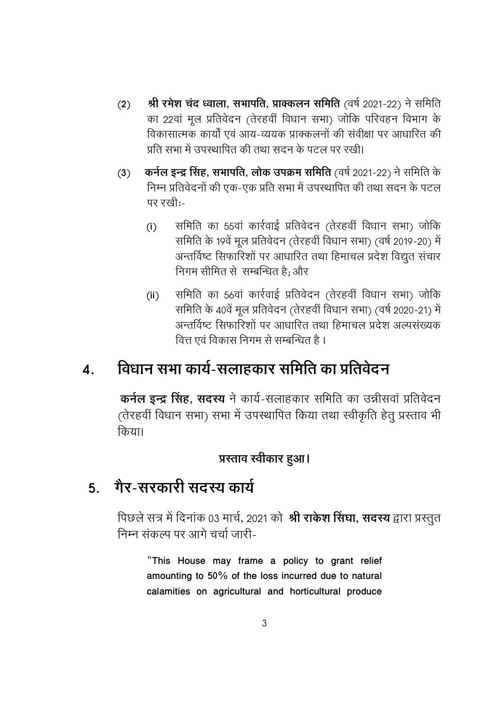- **(2) श्री रमेश चंद ध्वाला, सभापति, प्राक्कलन समिति** (वर्ष 2021-22) ने समिति का 22वां मूल प्रतिवेदन (तेरहवीं विधान सभा) जोकि परिवहन विभाग के विकासात्मक कार्यों एवं आय-व्ययक प्राक्कलनों की संवीक्षा पर आधारित की प्रति सभा में उपस्थापित की तथा सदन के पटल पर रखी।
- (3) कर्न**ल इन्द्र सिंह, सभापति, लोक उपक्रम समिति** (वर्ष 2021-22) ने समिति के निम्न प्रतिवेदनों की एक-एक प्रति सभा में उपस्थापित की तथा सदन के पटल पर रखी:-
	- (i) समिति का 55वां कार्रवाई प्रतिवेदन (तेरहवीं विधान सभा) जोकि समिति के 19वें मूल प्रतिवेदन (तेरहवीं विधान सभा) (वर्ष 2019-20) में अन्तर्विष्ट सिफारिशों पर आधारित तथा हिमाचल प्रदेश विद्युत संचार निगम सीमित से सम्बन्धित है: और
	- (ii) समिति का 56वां कार्रवाई प्रतिवेदन (तेरहवीं विधान सभा) जोकि समिति के ४०वें मूल प्रतिवेदन (तेरहवीं विधान सभा) (वर्ष २०२०-२१) में अन्तर्विष्ट सिफारिशों पर आधारित तथा हिमाचल प्रदेश अल्पसंख्यक वित्त एवं विकास निगम से सम्बन्धित है ।

## <u>4. विधान सभा कार्य-सलाहकार समिति का प्रतिवेदन</u>

**कर्नल इन्द्र सिंह, सदस्य** ने कार्य-सलाहकार समिति का उन्नीसवां प्रतिवेदन (तेरहवीं विधान सभा) सभा में उपस्थापित किया तथा स्वीकृति हेतु प्रस्ताव भी किया।

#### प्रस्ताव स्वीकार हुआ।

## <u>5. गैर-सरकारी सदस्य कार्य</u>

पिछले सत्र में दिनाक 03 मार्च, 2021 को **श्री रार्कश सिंघा, सदस्य** द्वारा प्रस्तुत निम्न संकल्प पर आगे चर्चा जारी-

**"This House may frame a policy to grant relief amounting to 50% of the loss incurred due to natural calamities on agricultural and horticultural produce**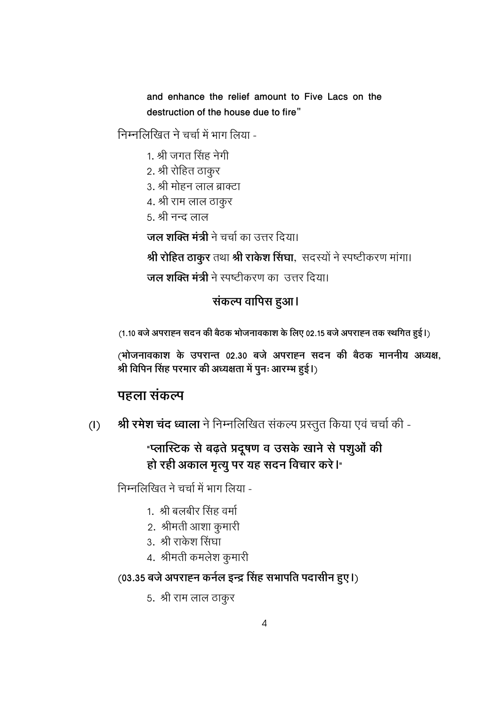and enhance the relief amount to Five Lacs on the destruction of the house due to fire"

निम्नलिखित ने चर्चा में भाग लिया -

- 1. श्री जगत सिंह नेगी
- 2. श्री रोहित ठाकुर
- 3. श्री मोहन लाल ब्राक्टा
- 4. श्री राम लाल ठाकुर
- <u>5. श्री नन्द लाल</u>

जल शक्ति मंत्री ने चर्चा का उत्तर दिया।

श्री रोहित ठाकुर तथा श्री राकेश सिंघा, सदस्यों ने स्पष्टीकरण मांगा।

**जल शक्ति मंत्री** ने स्पष्टीकरण का उत्तर दिया।

### संकल्प वापिस हुआ।

(1.10 बजे अपराह्न सदन की बैठक भोजनावकाश के लिए 02.15 बजे अपराह्न तक स्थगित हुई।)

(भोजनावकाश के उपरान्त 02.30 बजे अपराह्न सदन की बैठक माननीय अध्यक्ष, श्री विपिन सिंह परमार की अध्यक्षता में पुनः आरम्भ हुई।)

#### पहला संकल्प

श्री रमेश चंद ध्वाला ने निम्नलिखित संकल्प प्रस्तुत किया एवं चर्चा की - $(I)$ 

### "प्लास्टिक से बढ़ते प्रदूषण व उसके खाने से पशुओं की हो रही अकाल मृत्यू पर यह सदन विचार करे।

निम्नलिखित ने चर्चा में भाग लिया -

- 1. श्री बलबीर सिंह वर्मा
- 2. श्रीमती आशा कुमारी
- 3. श्री राकेश सिंघा
- 4. श्रीमती कमलेश कुमारी

### (03.35 बजे अपराह्न कर्नल इन्द्र सिंह सभापति पदासीन हुए।)

5. श्री राम लाल ठाकुर